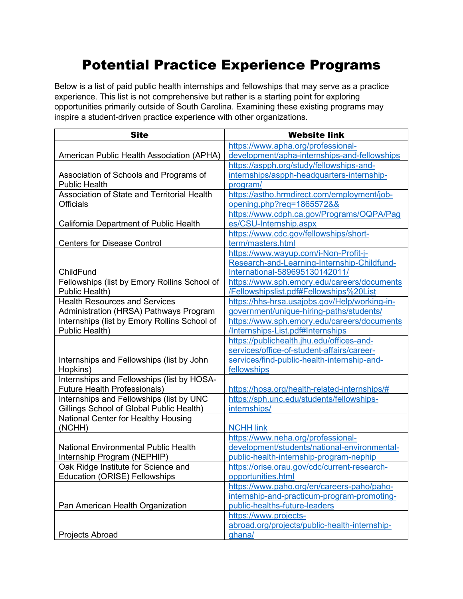## Potential Practice Experience Programs

Below is a list of paid public health internships and fellowships that may serve as a practice experience. This list is not comprehensive but rather is a starting point for exploring opportunities primarily outside of South Carolina. Examining these existing programs may inspire a student-driven practice experience with other organizations.

| <b>Site</b>                                  | <b>Website link</b>                           |
|----------------------------------------------|-----------------------------------------------|
|                                              | https://www.apha.org/professional-            |
| American Public Health Association (APHA)    | development/apha-internships-and-fellowships  |
|                                              | https://aspph.org/study/fellowships-and-      |
| Association of Schools and Programs of       | internships/aspph-headquarters-internship-    |
| <b>Public Health</b>                         | program/                                      |
| Association of State and Territorial Health  | https://astho.hrmdirect.com/employment/job-   |
| <b>Officials</b>                             | opening.php?req=1865572&&                     |
|                                              | https://www.cdph.ca.gov/Programs/OQPA/Pag     |
| California Department of Public Health       | es/CSU-Internship.aspx                        |
|                                              | https://www.cdc.gov/fellowships/short-        |
| <b>Centers for Disease Control</b>           | term/masters.html                             |
|                                              | https://www.wayup.com/i-Non-Profit-j-         |
|                                              | Research-and-Learning-Internship-Childfund-   |
| ChildFund                                    | International-589695130142011/                |
| Fellowships (list by Emory Rollins School of | https://www.sph.emory.edu/careers/documents   |
| Public Health)                               | /Fellowshipslist.pdf#Fellowships%20List       |
| <b>Health Resources and Services</b>         | https://hhs-hrsa.usajobs.gov/Help/working-in- |
| Administration (HRSA) Pathways Program       | government/unique-hiring-paths/students/      |
| Internships (list by Emory Rollins School of | https://www.sph.emory.edu/careers/documents   |
| Public Health)                               | /Internships-List.pdf#Internships             |
|                                              | https://publichealth.jhu.edu/offices-and-     |
|                                              | services/office-of-student-affairs/career-    |
| Internships and Fellowships (list by John    | services/find-public-health-internship-and-   |
| Hopkins)                                     | fellowships                                   |
| Internships and Fellowships (list by HOSA-   |                                               |
| <b>Future Health Professionals)</b>          | https://hosa.org/health-related-internships/# |
| Internships and Fellowships (list by UNC     | https://sph.unc.edu/students/fellowships-     |
| Gillings School of Global Public Health)     | internships/                                  |
| National Center for Healthy Housing          |                                               |
| (NCHH)                                       | <b>NCHH link</b>                              |
|                                              | https://www.neha.org/professional-            |
| <b>National Environmental Public Health</b>  | development/students/national-environmental-  |
| Internship Program (NEPHIP)                  | public-health-internship-program-nephip       |
| Oak Ridge Institute for Science and          | https://orise.orau.gov/cdc/current-research-  |
| <b>Education (ORISE) Fellowships</b>         | opportunities.html                            |
|                                              | https://www.paho.org/en/careers-paho/paho-    |
|                                              | internship-and-practicum-program-promoting-   |
| Pan American Health Organization             | public-healths-future-leaders                 |
|                                              | https://www.projects-                         |
|                                              | abroad.org/projects/public-health-internship- |
| <b>Projects Abroad</b>                       | ghana/                                        |